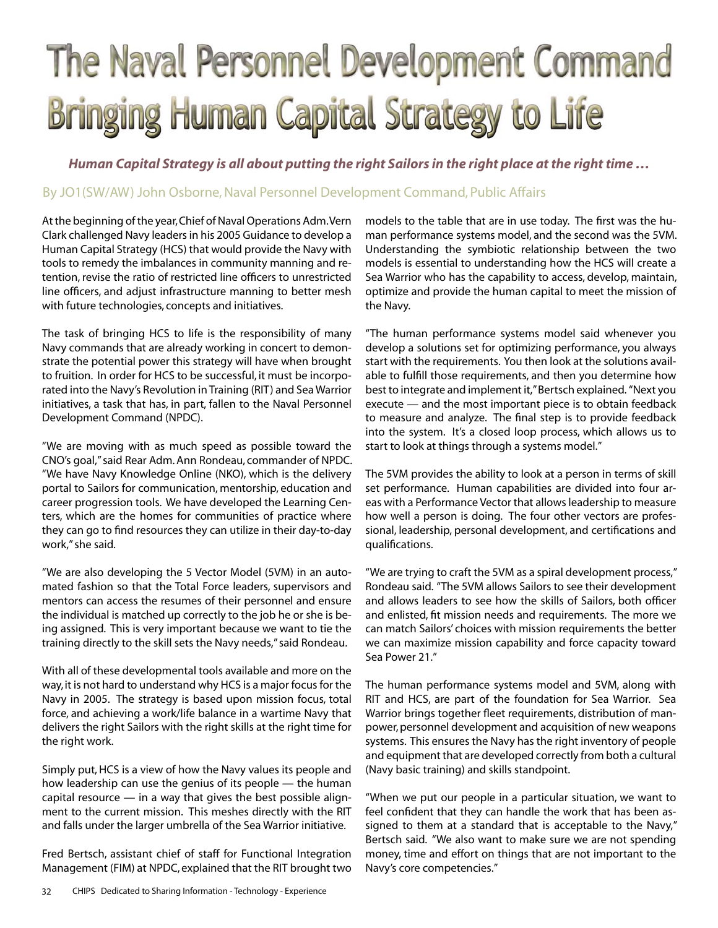## The Naval Personnel Development Command **Bringing Human Capital Strategy to Life**

*Human Capital Strategy is all about putting the right Sailors in the right place at the right time …*

## By JO1(SW/AW) John Osborne, Naval Personnel Development Command, Public Affairs

At the beginning of the year, Chief of Naval Operations Adm. Vern Clark challenged Navy leaders in his 2005 Guidance to develop a Human Capital Strategy (HCS) that would provide the Navy with tools to remedy the imbalances in community manning and retention, revise the ratio of restricted line officers to unrestricted line officers, and adjust infrastructure manning to better mesh with future technologies, concepts and initiatives.

The task of bringing HCS to life is the responsibility of many Navy commands that are already working in concert to demonstrate the potential power this strategy will have when brought to fruition. In order for HCS to be successful, it must be incorporated into the Navy's Revolution in Training (RIT) and Sea Warrior initiatives, a task that has, in part, fallen to the Naval Personnel Development Command (NPDC).

"We are moving with as much speed as possible toward the CNO's goal," said Rear Adm. Ann Rondeau, commander of NPDC. "We have Navy Knowledge Online (NKO), which is the delivery portal to Sailors for communication, mentorship, education and career progression tools. We have developed the Learning Centers, which are the homes for communities of practice where they can go to find resources they can utilize in their day-to-day work," she said.

"We are also developing the 5 Vector Model (5VM) in an automated fashion so that the Total Force leaders, supervisors and mentors can access the resumes of their personnel and ensure the individual is matched up correctly to the job he or she is being assigned. This is very important because we want to tie the training directly to the skill sets the Navy needs," said Rondeau.

With all of these developmental tools available and more on the way, it is not hard to understand why HCS is a major focus for the Navy in 2005. The strategy is based upon mission focus, total force, and achieving a work/life balance in a wartime Navy that delivers the right Sailors with the right skills at the right time for the right work.

Simply put, HCS is a view of how the Navy values its people and how leadership can use the genius of its people — the human capital resource — in a way that gives the best possible alignment to the current mission. This meshes directly with the RIT and falls under the larger umbrella of the Sea Warrior initiative.

Fred Bertsch, assistant chief of staff for Functional Integration Management (FIM) at NPDC, explained that the RIT brought two models to the table that are in use today. The first was the human performance systems model, and the second was the 5VM. Understanding the symbiotic relationship between the two models is essential to understanding how the HCS will create a Sea Warrior who has the capability to access, develop, maintain, optimize and provide the human capital to meet the mission of the Navy.

"The human performance systems model said whenever you develop a solutions set for optimizing performance, you always start with the requirements. You then look at the solutions available to fulfill those requirements, and then you determine how best to integrate and implement it," Bertsch explained. "Next you execute — and the most important piece is to obtain feedback to measure and analyze. The final step is to provide feedback into the system. It's a closed loop process, which allows us to start to look at things through a systems model."

The 5VM provides the ability to look at a person in terms of skill set performance. Human capabilities are divided into four areas with a Performance Vector that allows leadership to measure how well a person is doing. The four other vectors are professional, leadership, personal development, and certifications and qualifications.

"We are trying to craft the 5VM as a spiral development process," Rondeau said. "The 5VM allows Sailors to see their development and allows leaders to see how the skills of Sailors, both officer and enlisted, fit mission needs and requirements. The more we can match Sailors' choices with mission requirements the better we can maximize mission capability and force capacity toward Sea Power 21."

The human performance systems model and 5VM, along with RIT and HCS, are part of the foundation for Sea Warrior. Sea Warrior brings together fleet requirements, distribution of manpower, personnel development and acquisition of new weapons systems. This ensures the Navy has the right inventory of people and equipment that are developed correctly from both a cultural (Navy basic training) and skills standpoint.

"When we put our people in a particular situation, we want to feel confident that they can handle the work that has been assigned to them at a standard that is acceptable to the Navy," Bertsch said. "We also want to make sure we are not spending money, time and effort on things that are not important to the Navy's core competencies."